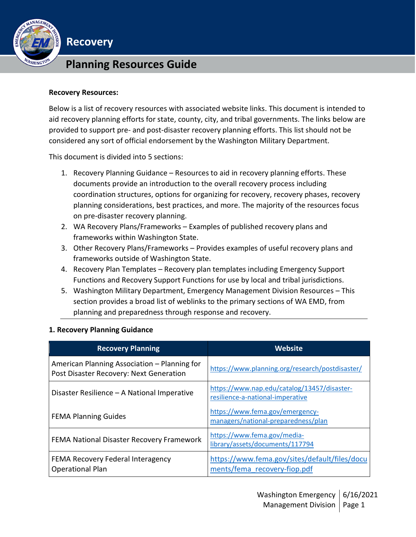

# **Planning Resources Guide**

#### **Recovery Resources:**

**Recovery**

Below is a list of recovery resources with associated website links. This document is intended to aid recovery planning efforts for state, county, city, and tribal governments. The links below are provided to support pre- and post-disaster recovery planning efforts. This list should not be considered any sort of official endorsement by the Washington Military Department.

This document is divided into 5 sections:

- 1. Recovery Planning Guidance Resources to aid in recovery planning efforts. These documents provide an introduction to the overall recovery process including coordination structures, options for organizing for recovery, recovery phases, recovery planning considerations, best practices, and more. The majority of the resources focus on pre-disaster recovery planning.
- 2. WA Recovery Plans/Frameworks Examples of published recovery plans and frameworks within Washington State.
- 3. Other Recovery Plans/Frameworks Provides examples of useful recovery plans and frameworks outside of Washington State.
- 4. Recovery Plan Templates Recovery plan templates including Emergency Support Functions and Recovery Support Functions for use by local and tribal jurisdictions.
- 5. Washington Military Department, Emergency Management Division Resources This section provides a broad list of weblinks to the primary sections of WA EMD, from planning and preparedness through response and recovery.

| <b>Recovery Planning</b>                                                                | Website                                                                         |
|-----------------------------------------------------------------------------------------|---------------------------------------------------------------------------------|
| American Planning Association – Planning for<br>Post Disaster Recovery: Next Generation | https://www.planning.org/research/postdisaster/                                 |
| Disaster Resilience - A National Imperative                                             | https://www.nap.edu/catalog/13457/disaster-<br>resilience-a-national-imperative |
| <b>FEMA Planning Guides</b>                                                             | https://www.fema.gov/emergency-<br>managers/national-preparedness/plan          |
| FEMA National Disaster Recovery Framework                                               | https://www.fema.gov/media-<br>library/assets/documents/117794                  |
| FEMA Recovery Federal Interagency<br><b>Operational Plan</b>                            | https://www.fema.gov/sites/default/files/docu<br>ments/fema_recovery-fiop.pdf   |

#### **1. Recovery Planning Guidance**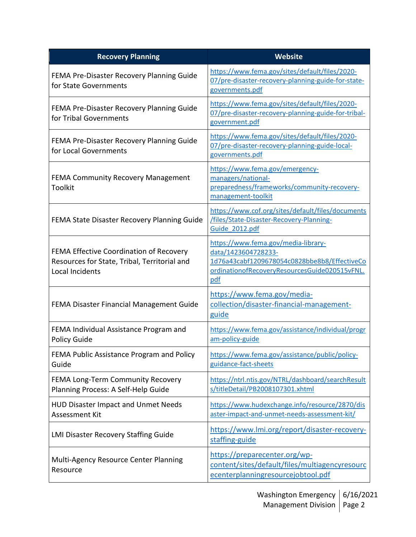| <b>Recovery Planning</b>                                                                                   | Website                                                                                                                                                            |
|------------------------------------------------------------------------------------------------------------|--------------------------------------------------------------------------------------------------------------------------------------------------------------------|
| FEMA Pre-Disaster Recovery Planning Guide<br>for State Governments                                         | https://www.fema.gov/sites/default/files/2020-<br>07/pre-disaster-recovery-planning-guide-for-state-<br>governments.pdf                                            |
| FEMA Pre-Disaster Recovery Planning Guide<br>for Tribal Governments                                        | https://www.fema.gov/sites/default/files/2020-<br>07/pre-disaster-recovery-planning-guide-for-tribal-<br>government.pdf                                            |
| FEMA Pre-Disaster Recovery Planning Guide<br>for Local Governments                                         | https://www.fema.gov/sites/default/files/2020-<br>07/pre-disaster-recovery-planning-guide-local-<br>governments.pdf                                                |
| <b>FEMA Community Recovery Management</b><br><b>Toolkit</b>                                                | https://www.fema.gov/emergency-<br>managers/national-<br>preparedness/frameworks/community-recovery-<br>management-toolkit                                         |
| FEMA State Disaster Recovery Planning Guide                                                                | https://www.cof.org/sites/default/files/documents<br>/files/State-Disaster-Recovery-Planning-<br>Guide 2012.pdf                                                    |
| FEMA Effective Coordination of Recovery<br>Resources for State, Tribal, Territorial and<br>Local Incidents | https://www.fema.gov/media-library-<br>data/1423604728233-<br>1d76a43cabf1209678054c0828bbe8b8/EffectiveCo<br>ordinationofRecoveryResourcesGuide020515vFNL.<br>pdf |
| FEMA Disaster Financial Management Guide                                                                   | https://www.fema.gov/media-<br>collection/disaster-financial-management-<br>guide                                                                                  |
| FEMA Individual Assistance Program and<br>Policy Guide                                                     | https://www.fema.gov/assistance/individual/progr<br>am-policy-guide                                                                                                |
| FEMA Public Assistance Program and Policy<br>Guide                                                         | https://www.fema.gov/assistance/public/policy-<br>guidance-fact-sheets                                                                                             |
| FEMA Long-Term Community Recovery<br>Planning Process: A Self-Help Guide                                   | https://ntrl.ntis.gov/NTRL/dashboard/searchResult<br>s/titleDetail/PB2008107301.xhtml                                                                              |
| <b>HUD Disaster Impact and Unmet Needs</b><br>Assessment Kit                                               | https://www.hudexchange.info/resource/2870/dis<br>aster-impact-and-unmet-needs-assessment-kit/                                                                     |
| <b>LMI Disaster Recovery Staffing Guide</b>                                                                | https://www.lmi.org/report/disaster-recovery-<br>staffing-guide                                                                                                    |
| Multi-Agency Resource Center Planning<br>Resource                                                          | https://preparecenter.org/wp-<br>content/sites/default/files/multiagencyresourc<br>ecenterplanningresourcejobtool.pdf                                              |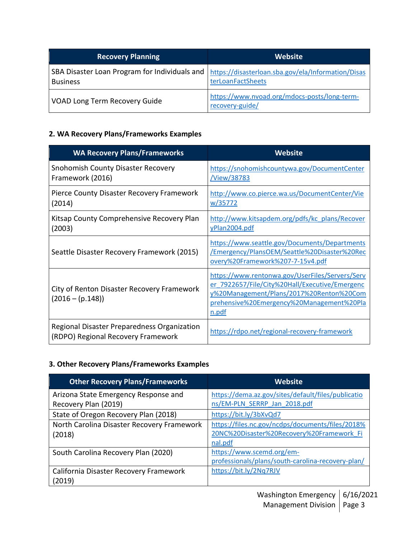| <b>Recovery Planning</b>                                         | Website                                                                 |
|------------------------------------------------------------------|-------------------------------------------------------------------------|
| SBA Disaster Loan Program for Individuals and<br><b>Business</b> | https://disasterloan.sba.gov/ela/Information/Disas<br>terLoanFactSheets |
| VOAD Long Term Recovery Guide                                    | https://www.nvoad.org/mdocs-posts/long-term-<br>recovery-guide/         |

## **2. WA Recovery Plans/Frameworks Examples**

| <b>WA Recovery Plans/Frameworks</b>                                               | <b>Website</b>                                                                                                                                                                                      |
|-----------------------------------------------------------------------------------|-----------------------------------------------------------------------------------------------------------------------------------------------------------------------------------------------------|
| <b>Snohomish County Disaster Recovery</b><br>Framework (2016)                     | https://snohomishcountywa.gov/DocumentCenter<br><u>/View/38783</u>                                                                                                                                  |
| Pierce County Disaster Recovery Framework<br>(2014)                               | http://www.co.pierce.wa.us/DocumentCenter/Vie<br>w/35772                                                                                                                                            |
| Kitsap County Comprehensive Recovery Plan<br>(2003)                               | http://www.kitsapdem.org/pdfs/kc_plans/Recover<br>yPlan2004.pdf                                                                                                                                     |
| Seattle Disaster Recovery Framework (2015)                                        | https://www.seattle.gov/Documents/Departments<br>Emergency/PlansOEM/Seattle%20Disaster%20Rec<br>overy%20Framework%207-7-15v4.pdf                                                                    |
| City of Renton Disaster Recovery Framework<br>$(2016 - (p.148))$                  | https://www.rentonwa.gov/UserFiles/Servers/Serv<br>er 7922657/File/City%20Hall/Executive/Emergenc<br>y%20Management/Plans/2017%20Renton%20Com<br>prehensive%20Emergency%20Management%20Pla<br>n.pdf |
| Regional Disaster Preparedness Organization<br>(RDPO) Regional Recovery Framework | https://rdpo.net/regional-recovery-framework                                                                                                                                                        |

### **3. Other Recovery Plans/Frameworks Examples**

| <b>Other Recovery Plans/Frameworks</b>     | <b>Website</b>                                     |
|--------------------------------------------|----------------------------------------------------|
| Arizona State Emergency Response and       | https://dema.az.gov/sites/default/files/publicatio |
| Recovery Plan (2019)                       | ns/EM-PLN SERRP Jan 2018.pdf                       |
| State of Oregon Recovery Plan (2018)       | https://bit.ly/3bXvQd7                             |
| North Carolina Disaster Recovery Framework | https://files.nc.gov/ncdps/documents/files/2018%   |
| (2018)                                     | 20NC%20Disaster%20Recovery%20Framework Fi          |
|                                            | nal.pdf                                            |
| South Carolina Recovery Plan (2020)        | https://www.scemd.org/em-                          |
|                                            | professionals/plans/south-carolina-recovery-plan/  |
| California Disaster Recovery Framework     | https://bit.ly/2Nq7RJV                             |
| (2019)                                     |                                                    |